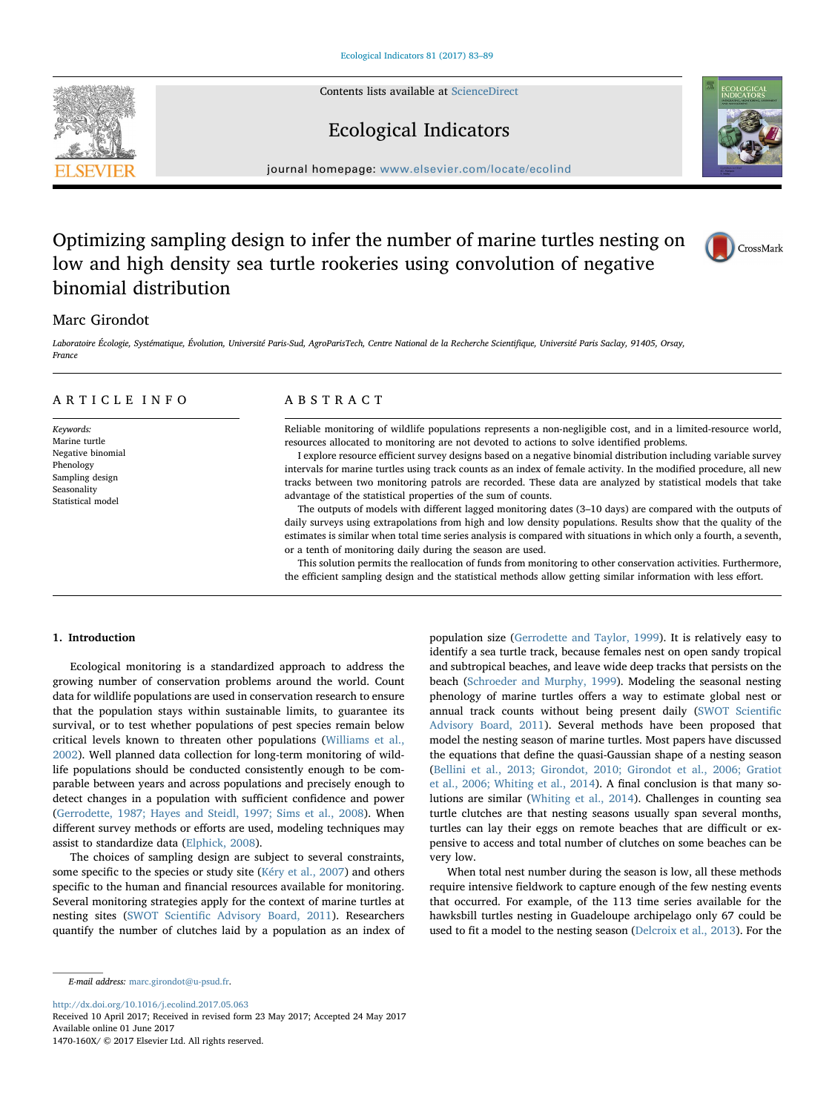Contents lists available at [ScienceDirect](http://www.sciencedirect.com/science/journal/1470160X)





# Ecological Indicators

journal homepage: [www.elsevier.com/locate/ecolind](http://www.elsevier.com/locate/ecolind)

# Optimizing sampling design to infer the number of marine turtles nesting on low and high density sea turtle rookeries using convolution of negative binomial distribution



## Marc Girondot

Laboratoire Écologie, Systématique, Évolution, Université Paris-Sud, AgroParisTech, Centre National de la Recherche Scientifique, Université Paris Saclay, 91405, Orsay, France

## ARTICLE INFO

Keywords: Marine turtle Negative binomial Phenology Sampling design Seasonality Statistical model

### ABSTRACT

Reliable monitoring of wildlife populations represents a non-negligible cost, and in a limited-resource world, resources allocated to monitoring are not devoted to actions to solve identified problems.

I explore resource efficient survey designs based on a negative binomial distribution including variable survey intervals for marine turtles using track counts as an index of female activity. In the modified procedure, all new tracks between two monitoring patrols are recorded. These data are analyzed by statistical models that take advantage of the statistical properties of the sum of counts.

The outputs of models with different lagged monitoring dates (3–10 days) are compared with the outputs of daily surveys using extrapolations from high and low density populations. Results show that the quality of the estimates is similar when total time series analysis is compared with situations in which only a fourth, a seventh, or a tenth of monitoring daily during the season are used.

This solution permits the reallocation of funds from monitoring to other conservation activities. Furthermore, the efficient sampling design and the statistical methods allow getting similar information with less effort.

#### 1. Introduction

Ecological monitoring is a standardized approach to address the growing number of conservation problems around the world. Count data for wildlife populations are used in conservation research to ensure that the population stays within sustainable limits, to guarantee its survival, or to test whether populations of pest species remain below critical levels known to threaten other populations [\(Williams et al.,](#page--1-0) [2002\)](#page--1-0). Well planned data collection for long-term monitoring of wildlife populations should be conducted consistently enough to be comparable between years and across populations and precisely enough to detect changes in a population with sufficient confidence and power ([Gerrodette, 1987; Hayes and Steidl, 1997; Sims et al., 2008\)](#page--1-1). When different survey methods or efforts are used, modeling techniques may assist to standardize data ([Elphick, 2008](#page--1-2)).

The choices of sampling design are subject to several constraints, some specific to the species or study site ([Kéry et al., 2007\)](#page--1-3) and others specific to the human and financial resources available for monitoring. Several monitoring strategies apply for the context of marine turtles at nesting sites (SWOT Scientifi[c Advisory Board, 2011\)](#page--1-4). Researchers quantify the number of clutches laid by a population as an index of population size [\(Gerrodette and Taylor, 1999](#page--1-5)). It is relatively easy to identify a sea turtle track, because females nest on open sandy tropical and subtropical beaches, and leave wide deep tracks that persists on the beach ([Schroeder and Murphy, 1999\)](#page--1-6). Modeling the seasonal nesting phenology of marine turtles offers a way to estimate global nest or annual track counts without being present daily [\(SWOT Scienti](#page--1-4)fic [Advisory Board, 2011](#page--1-4)). Several methods have been proposed that model the nesting season of marine turtles. Most papers have discussed the equations that define the quasi-Gaussian shape of a nesting season ([Bellini et al., 2013; Girondot, 2010; Girondot et al., 2006; Gratiot](#page--1-7) [et al., 2006; Whiting et al., 2014\)](#page--1-7). A final conclusion is that many solutions are similar ([Whiting et al., 2014](#page--1-8)). Challenges in counting sea turtle clutches are that nesting seasons usually span several months, turtles can lay their eggs on remote beaches that are difficult or expensive to access and total number of clutches on some beaches can be very low.

When total nest number during the season is low, all these methods require intensive fieldwork to capture enough of the few nesting events that occurred. For example, of the 113 time series available for the hawksbill turtles nesting in Guadeloupe archipelago only 67 could be used to fit a model to the nesting season [\(Delcroix et al., 2013\)](#page--1-9). For the

E-mail address: [marc.girondot@u-psud.fr](mailto:marc.girondot@u-psud.fr).

<http://dx.doi.org/10.1016/j.ecolind.2017.05.063>

Received 10 April 2017; Received in revised form 23 May 2017; Accepted 24 May 2017 Available online 01 June 2017

1470-160X/ © 2017 Elsevier Ltd. All rights reserved.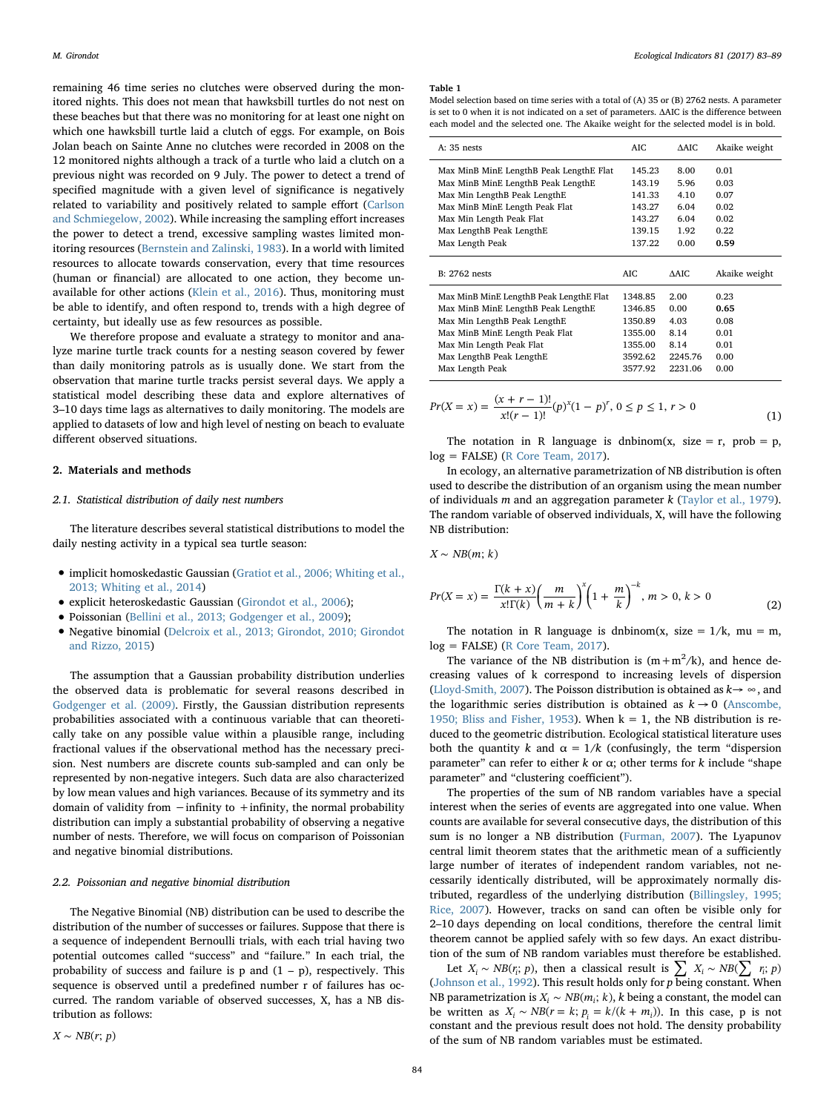remaining 46 time series no clutches were observed during the monitored nights. This does not mean that hawksbill turtles do not nest on these beaches but that there was no monitoring for at least one night on which one hawksbill turtle laid a clutch of eggs. For example, on Bois Jolan beach on Sainte Anne no clutches were recorded in 2008 on the 12 monitored nights although a track of a turtle who laid a clutch on a previous night was recorded on 9 July. The power to detect a trend of specified magnitude with a given level of significance is negatively related to variability and positively related to sample effort [\(Carlson](#page--1-10) [and Schmiegelow, 2002](#page--1-10)). While increasing the sampling effort increases the power to detect a trend, excessive sampling wastes limited monitoring resources [\(Bernstein and Zalinski, 1983](#page--1-11)). In a world with limited resources to allocate towards conservation, every that time resources (human or financial) are allocated to one action, they become unavailable for other actions [\(Klein et al., 2016](#page--1-12)). Thus, monitoring must be able to identify, and often respond to, trends with a high degree of certainty, but ideally use as few resources as possible.

We therefore propose and evaluate a strategy to monitor and analyze marine turtle track counts for a nesting season covered by fewer than daily monitoring patrols as is usually done. We start from the observation that marine turtle tracks persist several days. We apply a statistical model describing these data and explore alternatives of 3–10 days time lags as alternatives to daily monitoring. The models are applied to datasets of low and high level of nesting on beach to evaluate different observed situations.

#### 2. Materials and methods

#### 2.1. Statistical distribution of daily nest numbers

The literature describes several statistical distributions to model the daily nesting activity in a typical sea turtle season:

- implicit homoskedastic Gaussian ([Gratiot et al., 2006; Whiting et al.,](#page--1-13) [2013; Whiting et al., 2014\)](#page--1-13)
- explicit heteroskedastic Gaussian [\(Girondot et al., 2006](#page--1-14));
- Poissonian ([Bellini et al., 2013; Godgenger et al., 2009](#page--1-7));
- Negative binomial [\(Delcroix et al., 2013; Girondot, 2010; Girondot](#page--1-9) [and Rizzo, 2015](#page--1-9))

The assumption that a Gaussian probability distribution underlies the observed data is problematic for several reasons described in [Godgenger et al. \(2009\)](#page--1-15). Firstly, the Gaussian distribution represents probabilities associated with a continuous variable that can theoretically take on any possible value within a plausible range, including fractional values if the observational method has the necessary precision. Nest numbers are discrete counts sub-sampled and can only be represented by non-negative integers. Such data are also characterized by low mean values and high variances. Because of its symmetry and its domain of validity from −infinity to +infinity, the normal probability distribution can imply a substantial probability of observing a negative number of nests. Therefore, we will focus on comparison of Poissonian and negative binomial distributions.

#### 2.2. Poissonian and negative binomial distribution

The Negative Binomial (NB) distribution can be used to describe the distribution of the number of successes or failures. Suppose that there is a sequence of independent Bernoulli trials, with each trial having two potential outcomes called "success" and "failure." In each trial, the probability of success and failure is  $p$  and  $(1 - p)$ , respectively. This sequence is observed until a predefined number r of failures has occurred. The random variable of observed successes, X, has a NB distribution as follows:

#### Table 1

Model selection based on time series with a total of (A) 35 or (B) 2762 nests. A parameter is set to 0 when it is not indicated on a set of parameters. ΔAIC is the difference between each model and the selected one. The Akaike weight for the selected model is in bold.

| $A: 35$ nests                           | AIC.    | AAIC.   | Akaike weight |
|-----------------------------------------|---------|---------|---------------|
| Max MinB MinE LengthB Peak LengthE Flat | 145.23  | 8.00    | 0.01          |
| Max MinB MinE LengthB Peak LengthE      | 143.19  | 5.96    | 0.03          |
| Max Min LengthB Peak LengthE            | 141.33  | 4.10    | 0.07          |
| Max MinB MinE Length Peak Flat          | 143.27  | 6.04    | 0.02          |
| Max Min Length Peak Flat                | 143.27  | 6.04    | 0.02          |
| Max LengthB Peak LengthE                | 139.15  | 1.92    | 0.22          |
| Max Length Peak                         | 137.22  | 0.00    | 0.59          |
| <b>B: 2762 nests</b>                    | AIC.    | AAIC.   | Akaike weight |
| Max MinB MinE LengthB Peak LengthE Flat | 1348.85 | 2.00    | 0.23          |
| Max MinB MinE LengthB Peak LengthE      | 1346.85 | 0.00    | 0.65          |
| Max Min LengthB Peak LengthE            | 1350.89 | 4.03    | 0.08          |
| Max MinB MinE Length Peak Flat          | 1355.00 | 8.14    | 0.01          |
| Max Min Length Peak Flat                | 1355.00 | 8.14    | 0.01          |
| Max LengthB Peak LengthE                | 3592.62 | 2245.76 | 0.00          |
| Max Length Peak                         | 3577.92 | 2231.06 | 0.00          |

$$
Pr(X = x) = \frac{(x + r - 1)!}{x!(r - 1)!} (p)^{x} (1 - p)^{r}, 0 \le p \le 1, r > 0
$$
\n(1)

The notation in R language is dnbinom(x, size = r, prob = p,  $log =$  FALSE) ([R Core Team, 2017](#page--1-16)).

In ecology, an alternative parametrization of NB distribution is often used to describe the distribution of an organism using the mean number of individuals m and an aggregation parameter  $k$  [\(Taylor et al., 1979](#page--1-17)). The random variable of observed individuals, X, will have the following NB distribution:

 $X \sim NB(m; k)$ 

$$
Pr(X = x) = \frac{\Gamma(k + x)}{x!\Gamma(k)} \left(\frac{m}{m + k}\right)^{x} \left(1 + \frac{m}{k}\right)^{-k}, \, m > 0, \, k > 0 \tag{2}
$$

The notation in R language is dnbinom(x, size =  $1/k$ , mu = m, log = FALSE) ([R Core Team, 2017](#page--1-16)).

The variance of the NB distribution is  $(m+m^2/k)$ , and hence decreasing values of k correspond to increasing levels of dispersion ([Lloyd-Smith, 2007\)](#page--1-18). The Poisson distribution is obtained as  $k \rightarrow \infty$ , and the logarithmic series distribution is obtained as  $k \rightarrow 0$  [\(Anscombe,](#page--1-19) [1950; Bliss and Fisher, 1953\)](#page--1-19). When  $k = 1$ , the NB distribution is reduced to the geometric distribution. Ecological statistical literature uses both the quantity k and  $\alpha = 1/k$  (confusingly, the term "dispersion parameter" can refer to either  $k$  or  $\alpha$ ; other terms for  $k$  include "shape parameter" and "clustering coefficient").

The properties of the sum of NB random variables have a special interest when the series of events are aggregated into one value. When counts are available for several consecutive days, the distribution of this sum is no longer a NB distribution [\(Furman, 2007\)](#page--1-20). The Lyapunov central limit theorem states that the arithmetic mean of a sufficiently large number of iterates of independent random variables, not necessarily identically distributed, will be approximately normally distributed, regardless of the underlying distribution ([Billingsley, 1995;](#page--1-21) [Rice, 2007\)](#page--1-21). However, tracks on sand can often be visible only for 2–10 days depending on local conditions, therefore the central limit theorem cannot be applied safely with so few days. An exact distribution of the sum of NB random variables must therefore be established.

Let *X<sub>i</sub>* ∼ *NB*( $r_i$ ; *p*), then a classical result is  $\sum X_i \sim NB(\sum r_i; p)$ ([Johnson et al., 1992](#page--1-22)). This result holds only for  $p$  being constant. When NB parametrization is  $X_i \sim NB(m_i; k)$ , k being a constant, the model can be written as  $X_i \sim NB(r = k; p_i = k/(k + m_i))$ . In this case, p is not constant and the previous result does not hold. The density probability of the sum of NB random variables must be estimated.